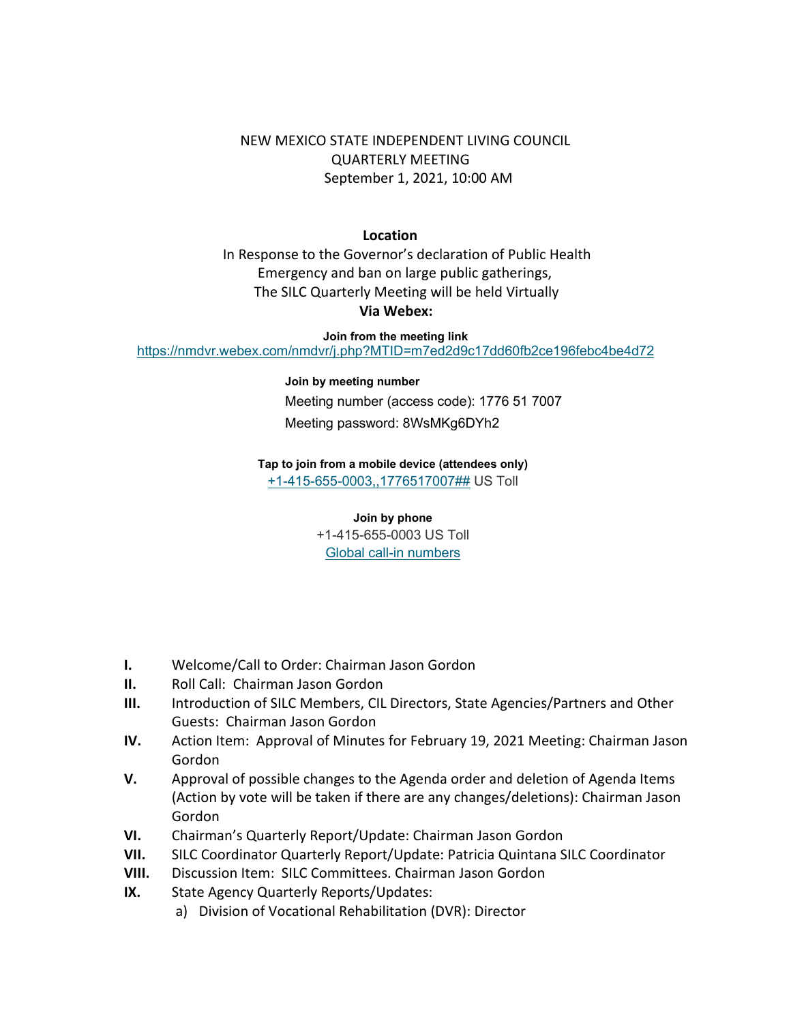NEW MEXICO STATE INDEPENDENT LIVING COUNCIL QUARTERLY MEETING September 1, 2021, 10:00 AM

## **Location**

 In Response to the Governor's declaration of Public Health Emergency and ban on large public gatherings, The SILC Quarterly Meeting will be held Virtually **Via Webex:**

**Join from the meeting link** <https://nmdvr.webex.com/nmdvr/j.php?MTID=m7ed2d9c17dd60fb2ce196febc4be4d72>

## **Join by meeting number**

Meeting number (access code): 1776 51 7007 Meeting password: 8WsMKg6DYh2

## **Tap to join from a mobile device (attendees only)**

[+1-415-655-0003,,1776517007##](tel:%2B1-415-655-0003,,*01*1776517007%23%23*01*) US Toll

## **Join by phone**

+1-415-655-0003 US Toll [Global call-in numbers](https://nmdvr.webex.com/nmdvr/globalcallin.php?MTID=mf46b50ee956d25f19896771a95ce4ff8)

- **I.** Welcome/Call to Order: Chairman Jason Gordon
- **II.** Roll Call: Chairman Jason Gordon
- **III.** Introduction of SILC Members, CIL Directors, State Agencies/Partners and Other Guests: Chairman Jason Gordon
- **IV.** Action Item: Approval of Minutes for February 19, 2021 Meeting: Chairman Jason Gordon
- **V.** Approval of possible changes to the Agenda order and deletion of Agenda Items (Action by vote will be taken if there are any changes/deletions): Chairman Jason Gordon
- **VI.** Chairman's Quarterly Report/Update: Chairman Jason Gordon
- **VII.** SILC Coordinator Quarterly Report/Update: Patricia Quintana SILC Coordinator
- **VIII.** Discussion Item: SILC Committees. Chairman Jason Gordon
- **IX.** State Agency Quarterly Reports/Updates:
	- a) Division of Vocational Rehabilitation (DVR): Director